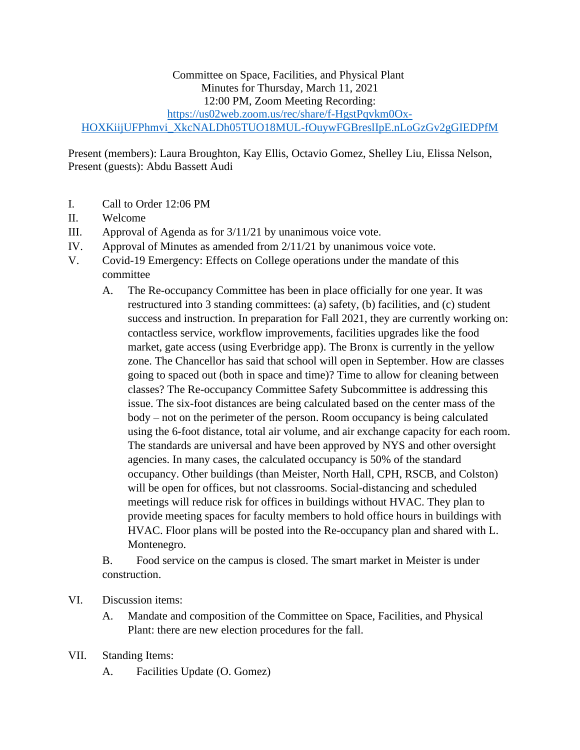## Committee on Space, Facilities, and Physical Plant Minutes for Thursday, March 11, 2021 12:00 PM, Zoom Meeting Recording: [https://us02web.zoom.us/rec/share/f-HgstPqvkm0Ox-](https://us02web.zoom.us/rec/share/f-HgstPqvkm0Ox-HOXKiijUFPhmvi_XkcNALDh05TUO18MUL-fOuywFGBreslIpE.nLoGzGv2gGIEDPfM)[HOXKiijUFPhmvi\\_XkcNALDh05TUO18MUL-fOuywFGBreslIpE.nLoGzGv2gGIEDPfM](https://us02web.zoom.us/rec/share/f-HgstPqvkm0Ox-HOXKiijUFPhmvi_XkcNALDh05TUO18MUL-fOuywFGBreslIpE.nLoGzGv2gGIEDPfM)

Present (members): Laura Broughton, Kay Ellis, Octavio Gomez, Shelley Liu, Elissa Nelson, Present (guests): Abdu Bassett Audi

- I. Call to Order 12:06 PM
- II. Welcome
- III. Approval of Agenda as for 3/11/21 by unanimous voice vote.
- IV. Approval of Minutes as amended from 2/11/21 by unanimous voice vote.
- V. Covid-19 Emergency: Effects on College operations under the mandate of this committee
	- A. The Re-occupancy Committee has been in place officially for one year. It was restructured into 3 standing committees: (a) safety, (b) facilities, and (c) student success and instruction. In preparation for Fall 2021, they are currently working on: contactless service, workflow improvements, facilities upgrades like the food market, gate access (using Everbridge app). The Bronx is currently in the yellow zone. The Chancellor has said that school will open in September. How are classes going to spaced out (both in space and time)? Time to allow for cleaning between classes? The Re-occupancy Committee Safety Subcommittee is addressing this issue. The six-foot distances are being calculated based on the center mass of the body – not on the perimeter of the person. Room occupancy is being calculated using the 6-foot distance, total air volume, and air exchange capacity for each room. The standards are universal and have been approved by NYS and other oversight agencies. In many cases, the calculated occupancy is 50% of the standard occupancy. Other buildings (than Meister, North Hall, CPH, RSCB, and Colston) will be open for offices, but not classrooms. Social-distancing and scheduled meetings will reduce risk for offices in buildings without HVAC. They plan to provide meeting spaces for faculty members to hold office hours in buildings with HVAC. Floor plans will be posted into the Re-occupancy plan and shared with L. Montenegro.

B. Food service on the campus is closed. The smart market in Meister is under construction.

- VI. Discussion items:
	- A. Mandate and composition of the Committee on Space, Facilities, and Physical Plant: there are new election procedures for the fall.
- VII. Standing Items:
	- A. Facilities Update (O. Gomez)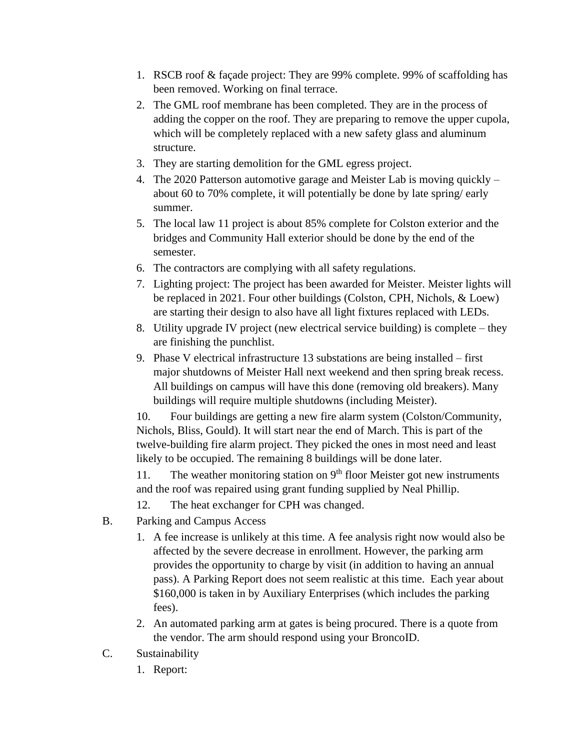- 1. RSCB roof & façade project: They are 99% complete. 99% of scaffolding has been removed. Working on final terrace.
- 2. The GML roof membrane has been completed. They are in the process of adding the copper on the roof. They are preparing to remove the upper cupola, which will be completely replaced with a new safety glass and aluminum structure.
- 3. They are starting demolition for the GML egress project.
- 4. The 2020 Patterson automotive garage and Meister Lab is moving quickly about 60 to 70% complete, it will potentially be done by late spring/ early summer.
- 5. The local law 11 project is about 85% complete for Colston exterior and the bridges and Community Hall exterior should be done by the end of the semester.
- 6. The contractors are complying with all safety regulations.
- 7. Lighting project: The project has been awarded for Meister. Meister lights will be replaced in 2021. Four other buildings (Colston, CPH, Nichols, & Loew) are starting their design to also have all light fixtures replaced with LEDs.
- 8. Utility upgrade IV project (new electrical service building) is complete they are finishing the punchlist.
- 9. Phase V electrical infrastructure 13 substations are being installed first major shutdowns of Meister Hall next weekend and then spring break recess. All buildings on campus will have this done (removing old breakers). Many buildings will require multiple shutdowns (including Meister).

10. Four buildings are getting a new fire alarm system (Colston/Community, Nichols, Bliss, Gould). It will start near the end of March. This is part of the twelve-building fire alarm project. They picked the ones in most need and least likely to be occupied. The remaining 8 buildings will be done later.

11. The weather monitoring station on  $9<sup>th</sup>$  floor Meister got new instruments and the roof was repaired using grant funding supplied by Neal Phillip.

- 12. The heat exchanger for CPH was changed.
- B. Parking and Campus Access
	- 1. A fee increase is unlikely at this time. A fee analysis right now would also be affected by the severe decrease in enrollment. However, the parking arm provides the opportunity to charge by visit (in addition to having an annual pass). A Parking Report does not seem realistic at this time. Each year about \$160,000 is taken in by Auxiliary Enterprises (which includes the parking fees).
	- 2. An automated parking arm at gates is being procured. There is a quote from the vendor. The arm should respond using your BroncoID.
- C. Sustainability
	- 1. Report: